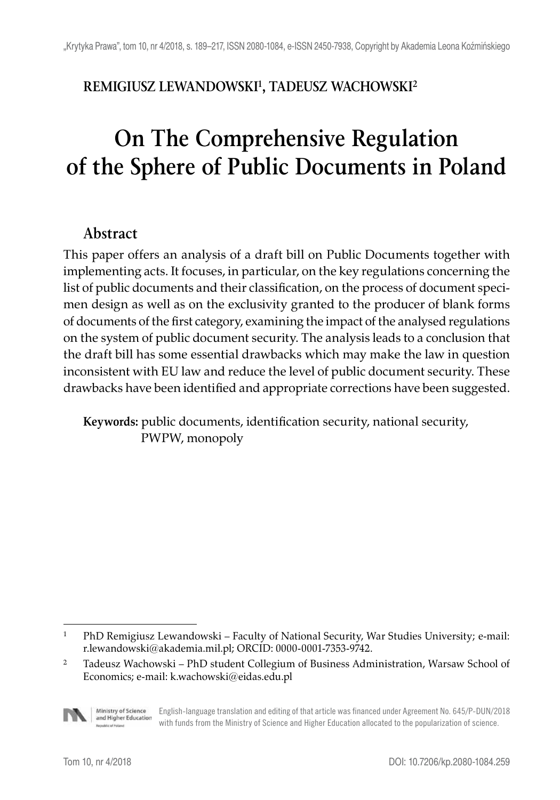# **REMIGIUSZ LEWANDOWSKI1, TADEUSZ WACHOWSKI2**

# **On The Comprehensive Regulation of the Sphere of Public Documents in Poland**

# **Abstract**

This paper offers an analysis of a draft bill on Public Documents together with implementing acts. It focuses, in particular, on the key regulations concerning the list of public documents and their classification, on the process of document specimen design as well as on the exclusivity granted to the producer of blank forms of documents of the first category, examining the impact of the analysed regulations on the system of public document security. The analysis leads to a conclusion that the draft bill has some essential drawbacks which may make the law in question inconsistent with EU law and reduce the level of public document security. These drawbacks have been identified and appropriate corrections have been suggested.

**Keywords:** public documents, identification security, national security, PWPW, monopoly

<sup>2</sup> Tadeusz Wachowski – PhD student Collegium of Business Administration, Warsaw School of Economics; e-mail: k.wachowski@eidas.edu.pl



Ministry of Science English-language translation and editing of that article was financed under Agreement No. 645/P-DUN/2018 and Higher Education with funds from the Ministry of Science and Higher Education allocated to the popularization of science.

<sup>1</sup> PhD Remigiusz Lewandowski – Faculty of National Security, War Studies University; e-mail: r.lewandowski@akademia.mil.pl; ORCID: 0000-0001-7353-9742.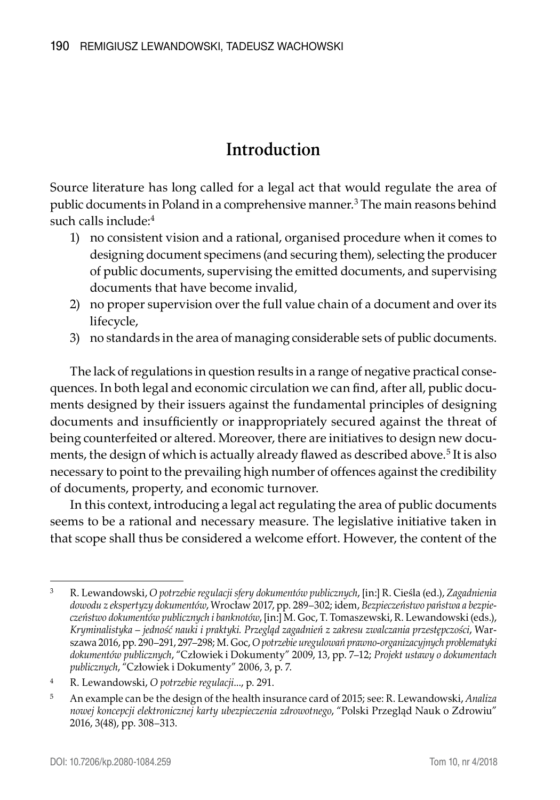# **Introduction**

Source literature has long called for a legal act that would regulate the area of public documents in Poland in a comprehensive manner.<sup>3</sup> The main reasons behind such calls include:4

- 1) no consistent vision and a rational, organised procedure when it comes to designing document specimens (and securing them), selecting the producer of public documents, supervising the emitted documents, and supervising documents that have become invalid,
- 2) no proper supervision over the full value chain of a document and over its lifecycle,
- 3) no standards in the area of managing considerable sets of public documents.

The lack of regulations in question results in a range of negative practical consequences. In both legal and economic circulation we can find, after all, public documents designed by their issuers against the fundamental principles of designing documents and insufficiently or inappropriately secured against the threat of being counterfeited or altered. Moreover, there are initiatives to design new documents, the design of which is actually already flawed as described above.5 It is also necessary to point to the prevailing high number of offences against the credibility of documents, property, and economic turnover.

In this context, introducing a legal act regulating the area of public documents seems to be a rational and necessary measure. The legislative initiative taken in that scope shall thus be considered a welcome effort. However, the content of the

<sup>3</sup> R. Lewandowski, *O potrzebie regulacji sfery dokumentów publicznych*, [in:] R. Cieśla (ed.), *Zagadnienia dowodu z ekspertyzy dokumentów*, Wrocław 2017, pp. 289–302; idem, *Bezpieczeństwo państwa a bezpieczeństwo dokumentów publicznych i banknotów*, [in:] M. Goc, T. Tomaszewski, R. Lewandowski (eds.), *Kryminalistyka – jedność nauki i praktyki. Przegląd zagadnień z zakresu zwalczania przestępczości*, Warszawa 2016, pp. 290–291, 297–298; M. Goc, *O potrzebie uregulowań prawno-organizacyjnych problematyki dokumentów publicznych*, "Człowiek i Dokumenty" 2009, 13, pp. 7–12; *Projekt ustawy o dokumentach publicznych*, "Człowiek i Dokumenty" 2006, 3, p. 7.

<sup>4</sup> R. Lewandowski, *O potrzebie regulacji*..., p. 291.

<sup>5</sup> An example can be the design of the health insurance card of 2015; see: R. Lewandowski, *Analiza nowej koncepcji elektronicznej karty ubezpieczenia zdrowotnego*, "Polski Przegląd Nauk o Zdrowiu" 2016, 3(48), pp. 308–313.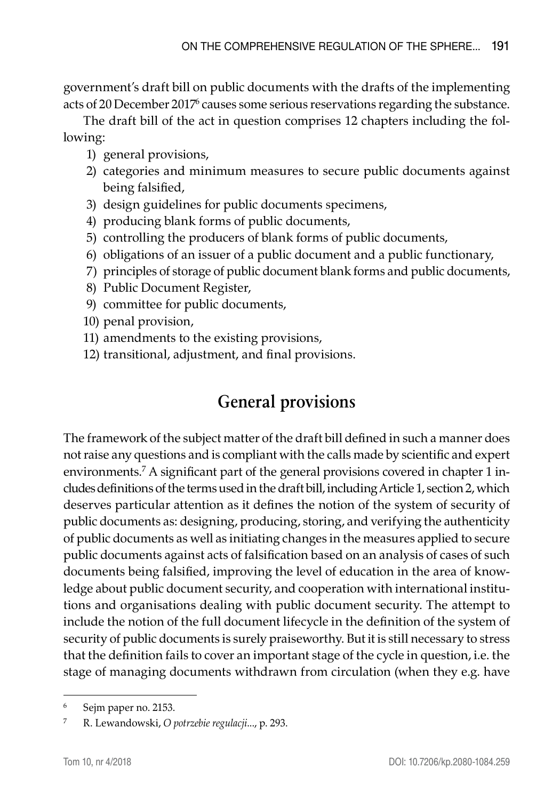government's draft bill on public documents with the drafts of the implementing acts of 20 December 2017<sup>6</sup> causes some serious reservations regarding the substance.

The draft bill of the act in question comprises 12 chapters including the following:

- 1) general provisions,
- 2) categories and minimum measures to secure public documents against being falsified,
- 3) design guidelines for public documents specimens,
- 4) producing blank forms of public documents,
- 5) controlling the producers of blank forms of public documents,
- 6) obligations of an issuer of a public document and a public functionary,
- 7) principles of storage of public document blank forms and public documents,
- 8) Public Document Register,
- 9) committee for public documents,
- 10) penal provision,
- 11) amendments to the existing provisions,
- 12) transitional, adjustment, and final provisions.

# **General provisions**

The framework of the subject matter of the draft bill defined in such a manner does not raise any questions and is compliant with the calls made by scientific and expert environments.7 A significant part of the general provisions covered in chapter 1 includes definitions of the terms used in the draft bill, including Article 1, section 2, which deserves particular attention as it defines the notion of the system of security of public documents as: designing, producing, storing, and verifying the authenticity of public documents as well as initiating changes in the measures applied to secure public documents against acts of falsification based on an analysis of cases of such documents being falsified, improving the level of education in the area of knowledge about public document security, and cooperation with international institutions and organisations dealing with public document security. The attempt to include the notion of the full document lifecycle in the definition of the system of security of public documents is surely praiseworthy. But it is still necessary to stress that the definition fails to cover an important stage of the cycle in question, i.e. the stage of managing documents withdrawn from circulation (when they e.g. have

<sup>6</sup> Sejm paper no. 2153.

<sup>7</sup> R. Lewandowski, *O potrzebie regulacji*..., p. 293.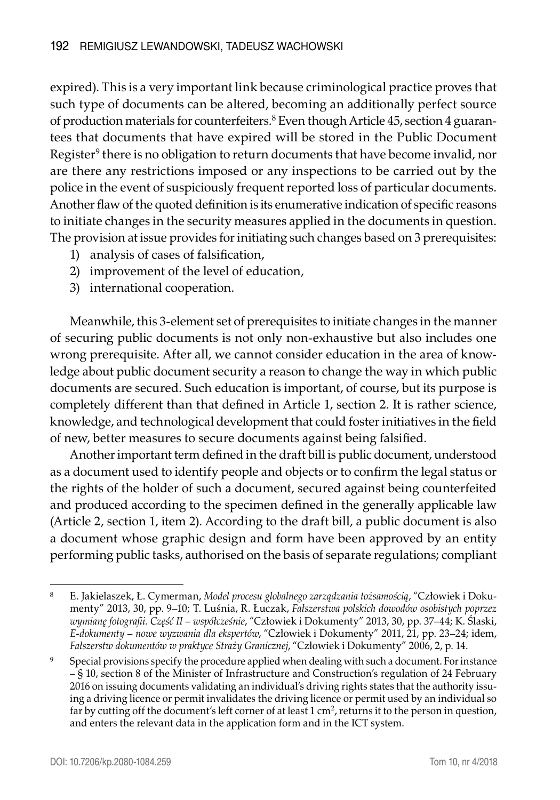expired). This is a very important link because criminological practice proves that such type of documents can be altered, becoming an additionally perfect source of production materials for counterfeiters.<sup>8</sup> Even though Article 45, section 4 guarantees that documents that have expired will be stored in the Public Document Register<sup>9</sup> there is no obligation to return documents that have become invalid, nor are there any restrictions imposed or any inspections to be carried out by the police in the event of suspiciously frequent reported loss of particular documents. Another flaw of the quoted definition is its enumerative indication of specific reasons to initiate changes in the security measures applied in the documents in question. The provision at issue provides for initiating such changes based on 3 prerequisites:

- 1) analysis of cases of falsification,
- 2) improvement of the level of education,
- 3) international cooperation.

Meanwhile, this 3-element set of prerequisites to initiate changes in the manner of securing public documents is not only non-exhaustive but also includes one wrong prerequisite. After all, we cannot consider education in the area of knowledge about public document security a reason to change the way in which public documents are secured. Such education is important, of course, but its purpose is completely different than that defined in Article 1, section 2. It is rather science, knowledge, and technological development that could foster initiatives in the field of new, better measures to secure documents against being falsified.

Another important term defined in the draft bill is public document, understood as a document used to identify people and objects or to confirm the legal status or the rights of the holder of such a document, secured against being counterfeited and produced according to the specimen defined in the generally applicable law (Article 2, section 1, item 2). According to the draft bill, a public document is also a document whose graphic design and form have been approved by an entity performing public tasks, authorised on the basis of separate regulations; compliant

<sup>8</sup> E. Jakielaszek, Ł. Cymerman, *Model procesu globalnego zarządzania tożsamością*, "Człowiek i Dokumenty" 2013, 30, pp. 9–10; T. Luśnia, R. Łuczak, *Fałszerstwa polskich dowodów osobistych poprzez wymianę fotografii. Część II – współcześnie*, "Człowiek i Dokumenty" 2013, 30, pp. 37–44; K. Ślaski, *E-dokumenty – nowe wyzwania dla ekspertów*, "Człowiek i Dokumenty" 2011, 21, pp. 23–24; idem, *Fałszerstw dokumentów w praktyce Straży Granicznej*, "Człowiek i Dokumenty" 2006, 2, p. 14.

<sup>9</sup> Special provisions specify the procedure applied when dealing with such a document. For instance – § 10, section 8 of the Minister of Infrastructure and Construction's regulation of 24 February 2016 on issuing documents validating an individual's driving rights states that the authority issuing a driving licence or permit invalidates the driving licence or permit used by an individual so far by cutting off the document's left corner of at least  $1 \text{ cm}^2$ , returns it to the person in question, and enters the relevant data in the application form and in the ICT system.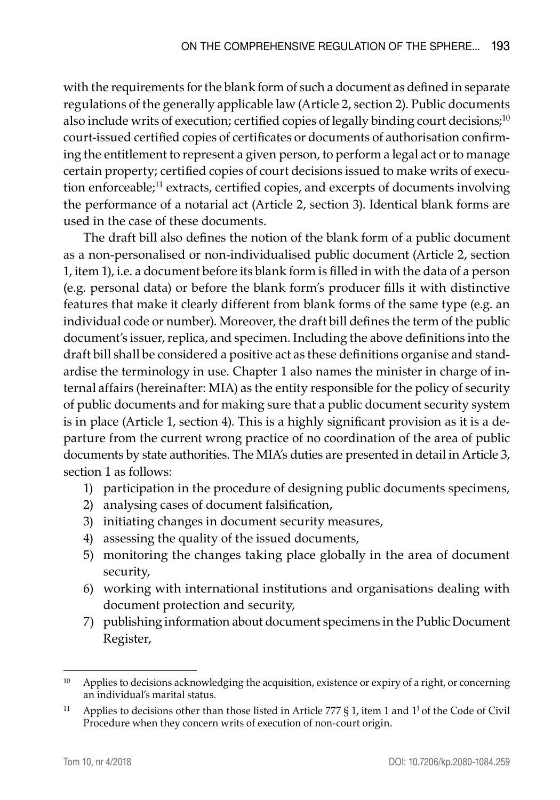with the requirements for the blank form of such a document as defined in separate regulations of the generally applicable law (Article 2, section 2). Public documents also include writs of execution; certified copies of legally binding court decisions;<sup>10</sup> court-issued certified copies of certificates or documents of authorisation confirming the entitlement to represent a given person, to perform a legal act or to manage certain property; certified copies of court decisions issued to make writs of execution enforceable;<sup>11</sup> extracts, certified copies, and excerpts of documents involving the performance of a notarial act (Article 2, section 3). Identical blank forms are used in the case of these documents.

The draft bill also defines the notion of the blank form of a public document as a non-personalised or non-individualised public document (Article 2, section 1, item 1), i.e. a document before its blank form is filled in with the data of a person (e.g. personal data) or before the blank form's producer fills it with distinctive features that make it clearly different from blank forms of the same type (e.g. an individual code or number). Moreover, the draft bill defines the term of the public document's issuer, replica, and specimen. Including the above definitions into the draft bill shall be considered a positive act as these definitions organise and standardise the terminology in use. Chapter 1 also names the minister in charge of internal affairs (hereinafter: MIA) as the entity responsible for the policy of security of public documents and for making sure that a public document security system is in place (Article 1, section 4). This is a highly significant provision as it is a departure from the current wrong practice of no coordination of the area of public documents by state authorities. The MIA's duties are presented in detail in Article 3, section 1 as follows:

- 1) participation in the procedure of designing public documents specimens,
- 2) analysing cases of document falsification,
- 3) initiating changes in document security measures,
- 4) assessing the quality of the issued documents,
- 5) monitoring the changes taking place globally in the area of document security,
- 6) working with international institutions and organisations dealing with document protection and security,
- 7) publishing information about document specimens in the Public Document Register,

<sup>&</sup>lt;sup>10</sup> Applies to decisions acknowledging the acquisition, existence or expiry of a right, or concerning an individual's marital status.

<sup>&</sup>lt;sup>11</sup> Applies to decisions other than those listed in Article 777  $\S$  1, item 1 and 1<sup>1</sup> of the Code of Civil Procedure when they concern writs of execution of non-court origin.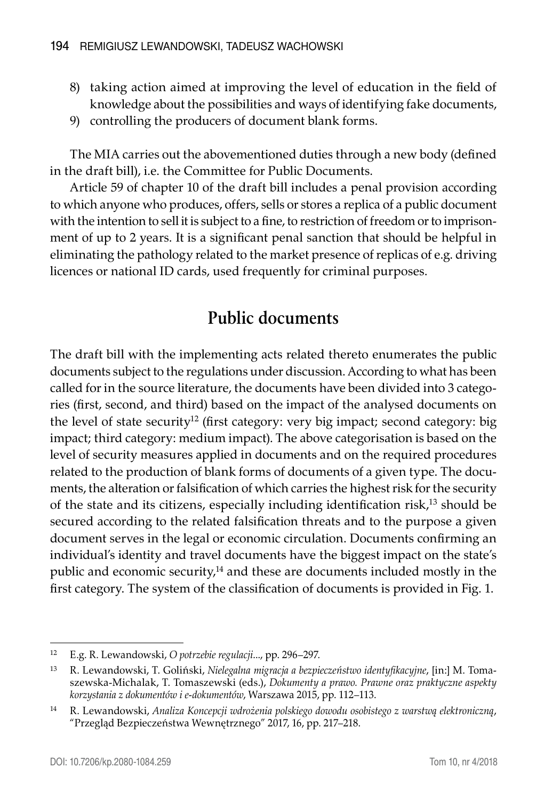- 8) taking action aimed at improving the level of education in the field of knowledge about the possibilities and ways of identifying fake documents,
- 9) controlling the producers of document blank forms.

The MIA carries out the abovementioned duties through a new body (defined in the draft bill), i.e. the Committee for Public Documents.

Article 59 of chapter 10 of the draft bill includes a penal provision according to which anyone who produces, offers, sells or stores a replica of a public document with the intention to sell it is subject to a fine, to restriction of freedom or to imprisonment of up to 2 years. It is a significant penal sanction that should be helpful in eliminating the pathology related to the market presence of replicas of e.g. driving licences or national ID cards, used frequently for criminal purposes.

# **Public documents**

The draft bill with the implementing acts related thereto enumerates the public documents subject to the regulations under discussion. According to what has been called for in the source literature, the documents have been divided into 3 categories (first, second, and third) based on the impact of the analysed documents on the level of state security<sup>12</sup> (first category: very big impact; second category: big impact; third category: medium impact). The above categorisation is based on the level of security measures applied in documents and on the required procedures related to the production of blank forms of documents of a given type. The documents, the alteration or falsification of which carries the highest risk for the security of the state and its citizens, especially including identification risk,13 should be secured according to the related falsification threats and to the purpose a given document serves in the legal or economic circulation. Documents confirming an individual's identity and travel documents have the biggest impact on the state's public and economic security, $14$  and these are documents included mostly in the first category. The system of the classification of documents is provided in Fig. 1.

<sup>12</sup> E.g. R. Lewandowski, *O potrzebie regulacji*..., pp. 296–297.

<sup>13</sup> R. Lewandowski, T. Goliński, *Nielegalna migracja a bezpieczeństwo identyfikacyjne*, [in:] M. Tomaszewska-Michalak, T. Tomaszewski (eds.), *Dokumenty a prawo. Prawne oraz praktyczne aspekty korzystania z dokumentów i e-dokumentów*, Warszawa 2015, pp. 112–113.

<sup>14</sup> R. Lewandowski, *Analiza Koncepcji wdrożenia polskiego dowodu osobistego z warstwą elektroniczną*, "Przegląd Bezpieczeństwa Wewnętrznego" 2017, 16, pp. 217–218.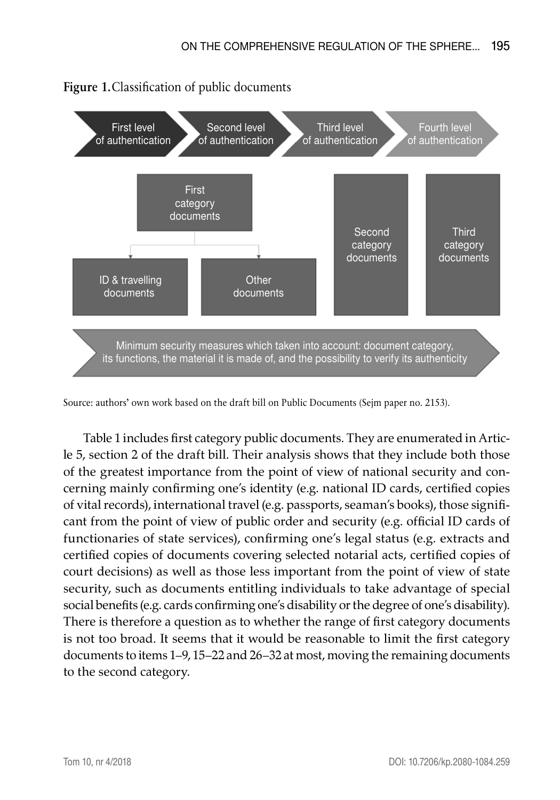

### **Figure 1.**Classification of public documents

Source: authors' own work based on the draft bill on Public Documents (Sejm paper no. 2153).

Table 1 includes first category public documents. They are enumerated in Article 5, section 2 of the draft bill. Their analysis shows that they include both those of the greatest importance from the point of view of national security and concerning mainly confirming one's identity (e.g. national ID cards, certified copies of vital records), international travel (e.g. passports, seaman's books), those significant from the point of view of public order and security (e.g. official ID cards of functionaries of state services), confirming one's legal status (e.g. extracts and certified copies of documents covering selected notarial acts, certified copies of court decisions) as well as those less important from the point of view of state security, such as documents entitling individuals to take advantage of special social benefits (e.g. cards confirming one's disability or the degree of one's disability). There is therefore a question as to whether the range of first category documents is not too broad. It seems that it would be reasonable to limit the first category documents to items 1–9, 15–22 and 26–32 at most, moving the remaining documents to the second category.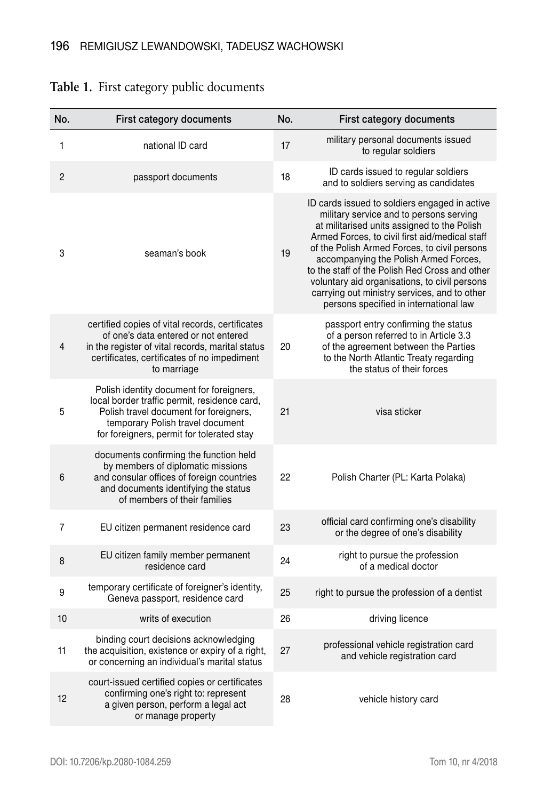| No.            | First category documents                                                                                                                                                                                            | No. | First category documents                                                                                                                                                                                                                                                                                                                                                                                                                                                        |
|----------------|---------------------------------------------------------------------------------------------------------------------------------------------------------------------------------------------------------------------|-----|---------------------------------------------------------------------------------------------------------------------------------------------------------------------------------------------------------------------------------------------------------------------------------------------------------------------------------------------------------------------------------------------------------------------------------------------------------------------------------|
| 1              | national ID card                                                                                                                                                                                                    | 17  | military personal documents issued<br>to regular soldiers                                                                                                                                                                                                                                                                                                                                                                                                                       |
| $\overline{c}$ | passport documents                                                                                                                                                                                                  | 18  | ID cards issued to regular soldiers<br>and to soldiers serving as candidates                                                                                                                                                                                                                                                                                                                                                                                                    |
| 3              | seaman's book                                                                                                                                                                                                       | 19  | ID cards issued to soldiers engaged in active<br>military service and to persons serving<br>at militarised units assigned to the Polish<br>Armed Forces, to civil first aid/medical staff<br>of the Polish Armed Forces, to civil persons<br>accompanying the Polish Armed Forces,<br>to the staff of the Polish Red Cross and other<br>voluntary aid organisations, to civil persons<br>carrying out ministry services, and to other<br>persons specified in international law |
| 4              | certified copies of vital records, certificates<br>of one's data entered or not entered<br>in the register of vital records, marital status<br>certificates, certificates of no impediment<br>to marriage           | 20  | passport entry confirming the status<br>of a person referred to in Article 3.3<br>of the agreement between the Parties<br>to the North Atlantic Treaty regarding<br>the status of their forces                                                                                                                                                                                                                                                                                  |
| 5              | Polish identity document for foreigners,<br>local border traffic permit, residence card,<br>Polish travel document for foreigners,<br>temporary Polish travel document<br>for foreigners, permit for tolerated stay | 21  | visa sticker                                                                                                                                                                                                                                                                                                                                                                                                                                                                    |
| 6              | documents confirming the function held<br>by members of diplomatic missions<br>and consular offices of foreign countries<br>and documents identifying the status<br>of members of their families                    | 22  | Polish Charter (PL: Karta Polaka)                                                                                                                                                                                                                                                                                                                                                                                                                                               |
| 7              | EU citizen permanent residence card                                                                                                                                                                                 | 23  | official card confirming one's disability<br>or the degree of one's disability                                                                                                                                                                                                                                                                                                                                                                                                  |
| 8              | EU citizen family member permanent<br>residence card                                                                                                                                                                | 24  | right to pursue the profession<br>of a medical doctor                                                                                                                                                                                                                                                                                                                                                                                                                           |
| 9              | temporary certificate of foreigner's identity,<br>Geneva passport, residence card                                                                                                                                   | 25  | right to pursue the profession of a dentist                                                                                                                                                                                                                                                                                                                                                                                                                                     |
| 10             | writs of execution                                                                                                                                                                                                  | 26  | driving licence                                                                                                                                                                                                                                                                                                                                                                                                                                                                 |
| 11             | binding court decisions acknowledging<br>the acquisition, existence or expiry of a right,<br>or concerning an individual's marital status                                                                           | 27  | professional vehicle registration card<br>and vehicle registration card                                                                                                                                                                                                                                                                                                                                                                                                         |
| 12             | court-issued certified copies or certificates<br>confirming one's right to: represent<br>a given person, perform a legal act<br>or manage property                                                                  | 28  | vehicle history card                                                                                                                                                                                                                                                                                                                                                                                                                                                            |

### **Table 1.** First category public documents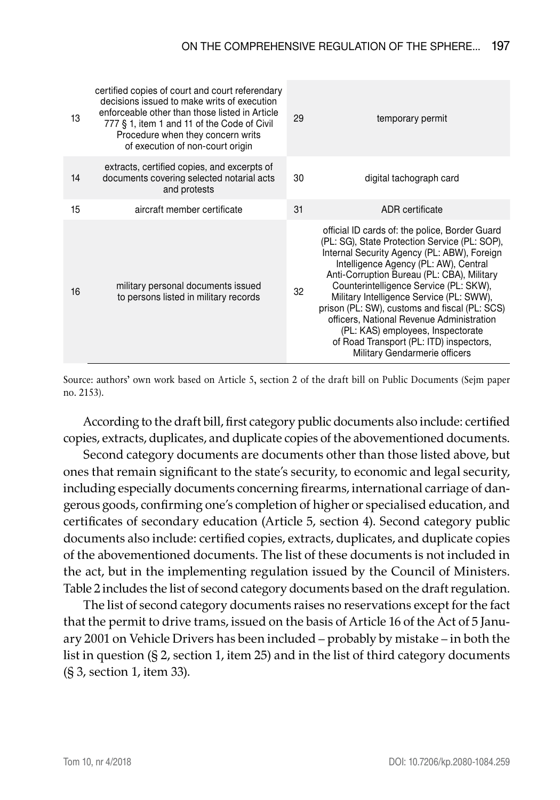| 13 | certified copies of court and court referendary<br>decisions issued to make writs of execution<br>enforceable other than those listed in Article<br>777 § 1, item 1 and 11 of the Code of Civil<br>Procedure when they concern writs<br>of execution of non-court origin | 29 | temporary permit                                                                                                                                                                                                                                                                                                                                                                                                                                                                                                                           |
|----|--------------------------------------------------------------------------------------------------------------------------------------------------------------------------------------------------------------------------------------------------------------------------|----|--------------------------------------------------------------------------------------------------------------------------------------------------------------------------------------------------------------------------------------------------------------------------------------------------------------------------------------------------------------------------------------------------------------------------------------------------------------------------------------------------------------------------------------------|
| 14 | extracts, certified copies, and excerpts of<br>documents covering selected notarial acts<br>and protests                                                                                                                                                                 | 30 | digital tachograph card                                                                                                                                                                                                                                                                                                                                                                                                                                                                                                                    |
| 15 | aircraft member certificate                                                                                                                                                                                                                                              | 31 | ADR certificate                                                                                                                                                                                                                                                                                                                                                                                                                                                                                                                            |
| 16 | military personal documents issued<br>to persons listed in military records                                                                                                                                                                                              | 32 | official ID cards of: the police, Border Guard<br>(PL: SG), State Protection Service (PL: SOP),<br>Internal Security Agency (PL: ABW), Foreign<br>Intelligence Agency (PL: AW), Central<br>Anti-Corruption Bureau (PL: CBA), Military<br>Counterintelligence Service (PL: SKW),<br>Military Intelligence Service (PL: SWW),<br>prison (PL: SW), customs and fiscal (PL: SCS)<br>officers, National Revenue Administration<br>(PL: KAS) employees, Inspectorate<br>of Road Transport (PL: ITD) inspectors,<br>Military Gendarmerie officers |

Source: authors' own work based on Article 5, section 2 of the draft bill on Public Documents (Sejm paper no. 2153).

According to the draft bill, first category public documents also include: certified copies, extracts, duplicates, and duplicate copies of the abovementioned documents.

Second category documents are documents other than those listed above, but ones that remain significant to the state's security, to economic and legal security, including especially documents concerning firearms, international carriage of dangerous goods, confirming one's completion of higher or specialised education, and certificates of secondary education (Article 5, section 4). Second category public documents also include: certified copies, extracts, duplicates, and duplicate copies of the abovementioned documents. The list of these documents is not included in the act, but in the implementing regulation issued by the Council of Ministers. Table 2 includes the list of second category documents based on the draft regulation.

The list of second category documents raises no reservations except for the fact that the permit to drive trams, issued on the basis of Article 16 of the Act of 5 January 2001 on Vehicle Drivers has been included – probably by mistake – in both the list in question (§ 2, section 1, item 25) and in the list of third category documents (§ 3, section 1, item 33).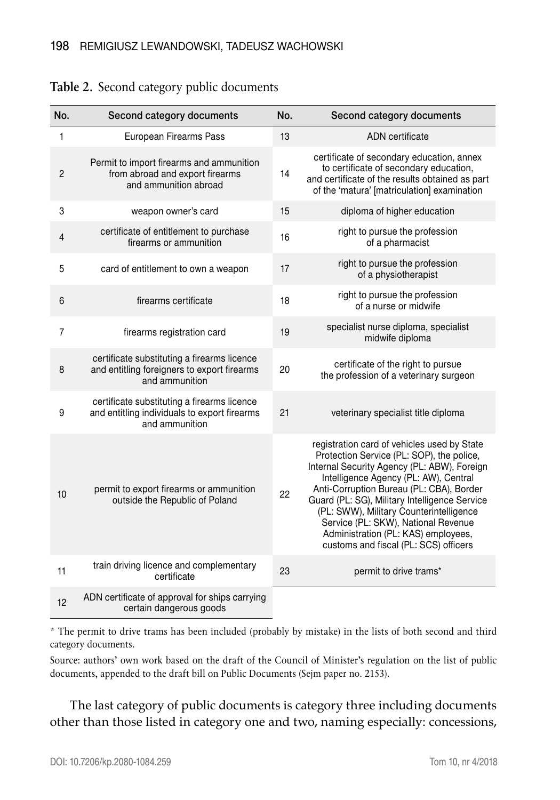| No.            | Second category documents                                                                                     | No. | Second category documents                                                                                                                                                                                                                                                                                                                                                                                                                       |
|----------------|---------------------------------------------------------------------------------------------------------------|-----|-------------------------------------------------------------------------------------------------------------------------------------------------------------------------------------------------------------------------------------------------------------------------------------------------------------------------------------------------------------------------------------------------------------------------------------------------|
| $\mathbf{1}$   | European Firearms Pass                                                                                        | 13  | ADN certificate                                                                                                                                                                                                                                                                                                                                                                                                                                 |
| $\overline{2}$ | Permit to import firearms and ammunition<br>from abroad and export firearms<br>and ammunition abroad          | 14  | certificate of secondary education, annex<br>to certificate of secondary education,<br>and certificate of the results obtained as part<br>of the 'matura' [matriculation] examination                                                                                                                                                                                                                                                           |
| 3              | weapon owner's card                                                                                           | 15  | diploma of higher education                                                                                                                                                                                                                                                                                                                                                                                                                     |
| 4              | certificate of entitlement to purchase<br>firearms or ammunition                                              | 16  | right to pursue the profession<br>of a pharmacist                                                                                                                                                                                                                                                                                                                                                                                               |
| 5              | card of entitlement to own a weapon                                                                           | 17  | right to pursue the profession<br>of a physiotherapist                                                                                                                                                                                                                                                                                                                                                                                          |
| 6              | firearms certificate                                                                                          | 18  | right to pursue the profession<br>of a nurse or midwife                                                                                                                                                                                                                                                                                                                                                                                         |
| 7              | firearms registration card                                                                                    | 19  | specialist nurse diploma, specialist<br>midwife diploma                                                                                                                                                                                                                                                                                                                                                                                         |
| 8              | certificate substituting a firearms licence<br>and entitling foreigners to export firearms<br>and ammunition  | 20  | certificate of the right to pursue<br>the profession of a veterinary surgeon                                                                                                                                                                                                                                                                                                                                                                    |
| 9              | certificate substituting a firearms licence<br>and entitling individuals to export firearms<br>and ammunition | 21  | veterinary specialist title diploma                                                                                                                                                                                                                                                                                                                                                                                                             |
| 10             | permit to export firearms or ammunition<br>outside the Republic of Poland                                     | 22  | registration card of vehicles used by State<br>Protection Service (PL: SOP), the police,<br>Internal Security Agency (PL: ABW), Foreign<br>Intelligence Agency (PL: AW), Central<br>Anti-Corruption Bureau (PL: CBA), Border<br>Guard (PL: SG), Military Intelligence Service<br>(PL: SWW), Military Counterintelligence<br>Service (PL: SKW), National Revenue<br>Administration (PL: KAS) employees,<br>customs and fiscal (PL: SCS) officers |
| 11             | train driving licence and complementary<br>certificate                                                        | 23  | permit to drive trams*                                                                                                                                                                                                                                                                                                                                                                                                                          |
| 12             | ADN certificate of approval for ships carrying<br>certain dangerous goods                                     |     |                                                                                                                                                                                                                                                                                                                                                                                                                                                 |

#### **Table 2.** Second category public documents

\* The permit to drive trams has been included (probably by mistake) in the lists of both second and third category documents.

Source: authors' own work based on the draft of the Council of Minister's regulation on the list of public documents, appended to the draft bill on Public Documents (Sejm paper no. 2153).

The last category of public documents is category three including documents other than those listed in category one and two, naming especially: concessions,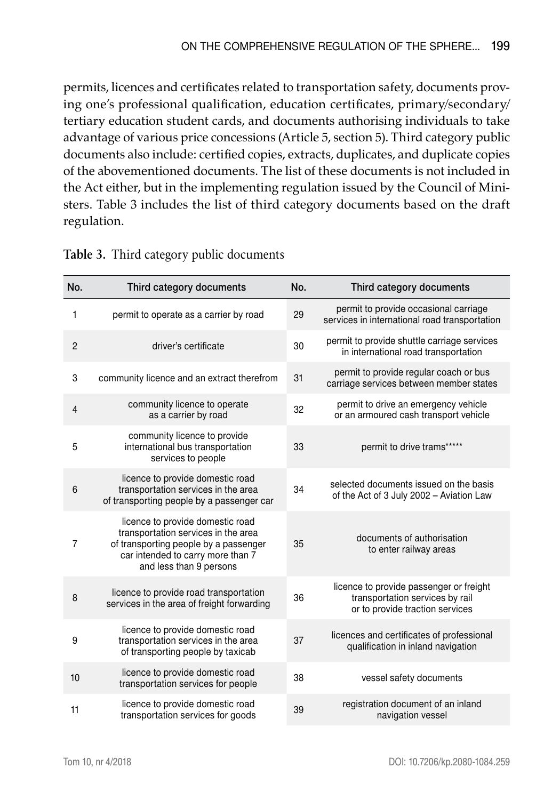permits, licences and certificates related to transportation safety, documents proving one's professional qualification, education certificates, primary/secondary/ tertiary education student cards, and documents authorising individuals to take advantage of various price concessions (Article 5, section 5). Third category public documents also include: certified copies, extracts, duplicates, and duplicate copies of the abovementioned documents. The list of these documents is not included in the Act either, but in the implementing regulation issued by the Council of Ministers. Table 3 includes the list of third category documents based on the draft regulation.

| No.            | Third category documents                                                                                                                                                         | No. | Third category documents                                                                                      |
|----------------|----------------------------------------------------------------------------------------------------------------------------------------------------------------------------------|-----|---------------------------------------------------------------------------------------------------------------|
| 1              | permit to operate as a carrier by road                                                                                                                                           | 29  | permit to provide occasional carriage<br>services in international road transportation                        |
| $\overline{2}$ | driver's certificate                                                                                                                                                             | 30  | permit to provide shuttle carriage services<br>in international road transportation                           |
| 3              | community licence and an extract therefrom                                                                                                                                       | 31  | permit to provide regular coach or bus<br>carriage services between member states                             |
| $\overline{4}$ | community licence to operate<br>as a carrier by road                                                                                                                             | 32  | permit to drive an emergency vehicle<br>or an armoured cash transport vehicle                                 |
| 5              | community licence to provide<br>international bus transportation<br>services to people                                                                                           | 33  | permit to drive trams*****                                                                                    |
| 6              | licence to provide domestic road<br>transportation services in the area<br>of transporting people by a passenger car                                                             | 34  | selected documents issued on the basis<br>of the Act of 3 July 2002 - Aviation Law                            |
| $\overline{7}$ | licence to provide domestic road<br>transportation services in the area<br>of transporting people by a passenger<br>car intended to carry more than 7<br>and less than 9 persons | 35  | documents of authorisation<br>to enter railway areas                                                          |
| 8              | licence to provide road transportation<br>services in the area of freight forwarding                                                                                             | 36  | licence to provide passenger or freight<br>transportation services by rail<br>or to provide traction services |
| 9              | licence to provide domestic road<br>transportation services in the area<br>of transporting people by taxicab                                                                     | 37  | licences and certificates of professional<br>qualification in inland navigation                               |
| 10             | licence to provide domestic road<br>transportation services for people                                                                                                           | 38  | vessel safety documents                                                                                       |
| 11             | licence to provide domestic road<br>transportation services for goods                                                                                                            | 39  | registration document of an inland<br>navigation vessel                                                       |

#### **Table 3.** Third category public documents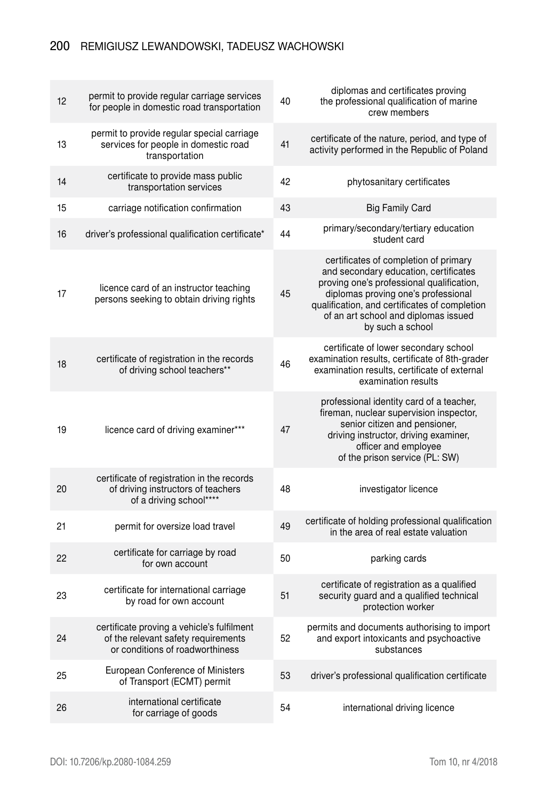### 200 Remigiusz Lewandowski, Tadeusz Wachowski

| 12 | permit to provide regular carriage services<br>for people in domestic road transportation                            | 40 | diplomas and certificates proving<br>the professional qualification of marine<br>crew members                                                                                                                                                                                   |
|----|----------------------------------------------------------------------------------------------------------------------|----|---------------------------------------------------------------------------------------------------------------------------------------------------------------------------------------------------------------------------------------------------------------------------------|
| 13 | permit to provide regular special carriage<br>services for people in domestic road<br>transportation                 | 41 | certificate of the nature, period, and type of<br>activity performed in the Republic of Poland                                                                                                                                                                                  |
| 14 | certificate to provide mass public<br>transportation services                                                        | 42 | phytosanitary certificates                                                                                                                                                                                                                                                      |
| 15 | carriage notification confirmation                                                                                   | 43 | <b>Big Family Card</b>                                                                                                                                                                                                                                                          |
| 16 | driver's professional qualification certificate*                                                                     | 44 | primary/secondary/tertiary education<br>student card                                                                                                                                                                                                                            |
| 17 | licence card of an instructor teaching<br>persons seeking to obtain driving rights                                   | 45 | certificates of completion of primary<br>and secondary education, certificates<br>proving one's professional qualification,<br>diplomas proving one's professional<br>qualification, and certificates of completion<br>of an art school and diplomas issued<br>by such a school |
| 18 | certificate of registration in the records<br>of driving school teachers**                                           | 46 | certificate of lower secondary school<br>examination results, certificate of 8th-grader<br>examination results, certificate of external<br>examination results                                                                                                                  |
| 19 | licence card of driving examiner***                                                                                  | 47 | professional identity card of a teacher,<br>fireman, nuclear supervision inspector,<br>senior citizen and pensioner,<br>driving instructor, driving examiner,<br>officer and employee<br>of the prison service (PL: SW)                                                         |
| 20 | certificate of registration in the records<br>of driving instructors of teachers<br>of a driving school****          | 48 | investigator licence                                                                                                                                                                                                                                                            |
| 21 | permit for oversize load travel                                                                                      | 49 | certificate of holding professional qualification<br>in the area of real estate valuation                                                                                                                                                                                       |
| 22 | certificate for carriage by road<br>for own account                                                                  | 50 | parking cards                                                                                                                                                                                                                                                                   |
| 23 | certificate for international carriage<br>by road for own account                                                    | 51 | certificate of registration as a qualified<br>security guard and a qualified technical<br>protection worker                                                                                                                                                                     |
| 24 | certificate proving a vehicle's fulfilment<br>of the relevant safety requirements<br>or conditions of roadworthiness | 52 | permits and documents authorising to import<br>and export intoxicants and psychoactive<br>substances                                                                                                                                                                            |
| 25 | European Conference of Ministers<br>of Transport (ECMT) permit                                                       | 53 | driver's professional qualification certificate                                                                                                                                                                                                                                 |
| 26 | international certificate<br>for carriage of goods                                                                   | 54 | international driving licence                                                                                                                                                                                                                                                   |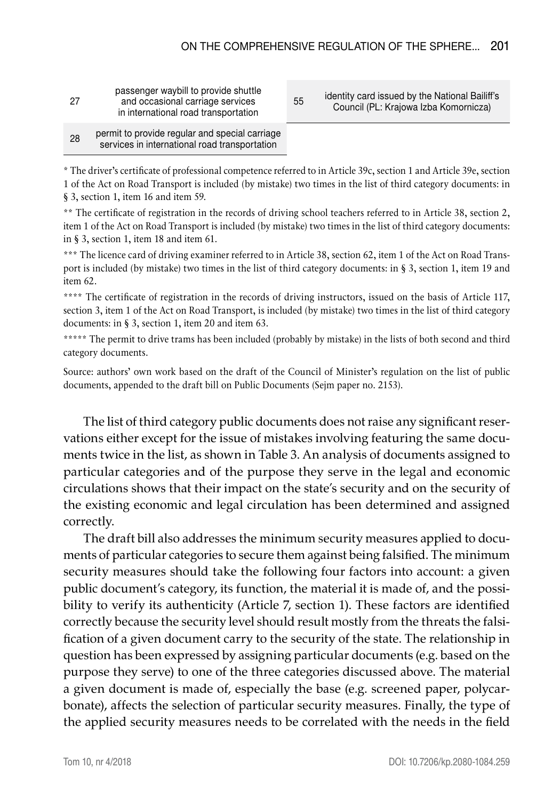| 27 | passenger waybill to provide shuttle<br>and occasional carriage services<br>in international road transportation |
|----|------------------------------------------------------------------------------------------------------------------|
|    |                                                                                                                  |

<sup>55</sup> identity card issued by the National Bailiff's Council (PL: Krajowa Izba Komornicza)

#### <sub>28</sub> permit to provide regular and special carriage services in international road transportation

\* The driver's certificate of professional competence referred to in Article 39c, section 1 and Article 39e, section 1 of the Act on Road Transport is included (by mistake) two times in the list of third category documents: in § 3, section 1, item 16 and item 59.

\*\* The certificate of registration in the records of driving school teachers referred to in Article 38, section 2, item 1 of the Act on Road Transport is included (by mistake) two times in the list of third category documents: in § 3, section 1, item 18 and item 61.

\*\*\* The licence card of driving examiner referred to in Article 38, section 62, item 1 of the Act on Road Transport is included (by mistake) two times in the list of third category documents: in § 3, section 1, item 19 and item 62.

\*\*\*\* The certificate of registration in the records of driving instructors, issued on the basis of Article 117, section 3, item 1 of the Act on Road Transport, is included (by mistake) two times in the list of third category documents: in § 3, section 1, item 20 and item 63.

\*\*\*\*\* The permit to drive trams has been included (probably by mistake) in the lists of both second and third category documents.

Source: authors' own work based on the draft of the Council of Minister's regulation on the list of public documents, appended to the draft bill on Public Documents (Sejm paper no. 2153).

The list of third category public documents does not raise any significant reservations either except for the issue of mistakes involving featuring the same documents twice in the list, as shown in Table 3. An analysis of documents assigned to particular categories and of the purpose they serve in the legal and economic circulations shows that their impact on the state's security and on the security of the existing economic and legal circulation has been determined and assigned correctly.

The draft bill also addresses the minimum security measures applied to documents of particular categories to secure them against being falsified. The minimum security measures should take the following four factors into account: a given public document's category, its function, the material it is made of, and the possibility to verify its authenticity (Article 7, section 1). These factors are identified correctly because the security level should result mostly from the threats the falsification of a given document carry to the security of the state. The relationship in question has been expressed by assigning particular documents (e.g. based on the purpose they serve) to one of the three categories discussed above. The material a given document is made of, especially the base (e.g. screened paper, polycarbonate), affects the selection of particular security measures. Finally, the type of the applied security measures needs to be correlated with the needs in the field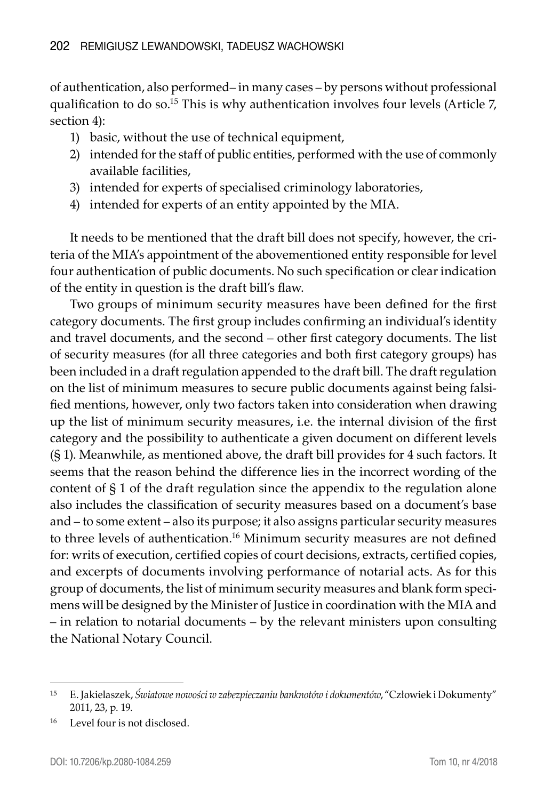of authentication, also performed– in many cases – by persons without professional qualification to do so.15 This is why authentication involves four levels (Article 7, section 4):

- 1) basic, without the use of technical equipment,
- 2) intended for the staff of public entities, performed with the use of commonly available facilities,
- 3) intended for experts of specialised criminology laboratories,
- 4) intended for experts of an entity appointed by the MIA.

It needs to be mentioned that the draft bill does not specify, however, the criteria of the MIA's appointment of the abovementioned entity responsible for level four authentication of public documents. No such specification or clear indication of the entity in question is the draft bill's flaw.

Two groups of minimum security measures have been defined for the first category documents. The first group includes confirming an individual's identity and travel documents, and the second – other first category documents. The list of security measures (for all three categories and both first category groups) has been included in a draft regulation appended to the draft bill. The draft regulation on the list of minimum measures to secure public documents against being falsified mentions, however, only two factors taken into consideration when drawing up the list of minimum security measures, i.e. the internal division of the first category and the possibility to authenticate a given document on different levels (§ 1). Meanwhile, as mentioned above, the draft bill provides for 4 such factors. It seems that the reason behind the difference lies in the incorrect wording of the content of § 1 of the draft regulation since the appendix to the regulation alone also includes the classification of security measures based on a document's base and – to some extent – also its purpose; it also assigns particular security measures to three levels of authentication.<sup>16</sup> Minimum security measures are not defined for: writs of execution, certified copies of court decisions, extracts, certified copies, and excerpts of documents involving performance of notarial acts. As for this group of documents, the list of minimum security measures and blank form specimens will be designed by the Minister of Justice in coordination with the MIA and – in relation to notarial documents – by the relevant ministers upon consulting the National Notary Council.

<sup>15</sup> E. Jakielaszek, *Światowe nowości w zabezpieczaniu banknotów i dokumentów*, "Człowiek i Dokumenty" 2011, 23, p. 19.

<sup>16</sup> Level four is not disclosed.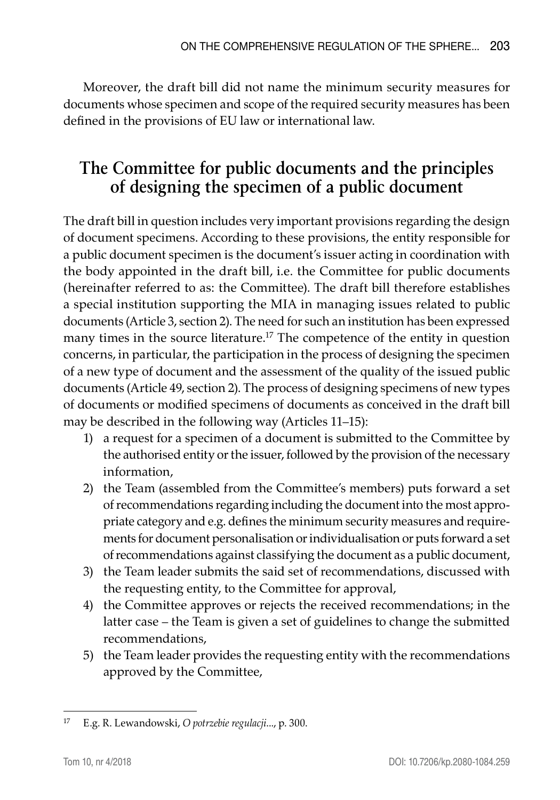Moreover, the draft bill did not name the minimum security measures for documents whose specimen and scope of the required security measures has been defined in the provisions of EU law or international law.

# **The Committee for public documents and the principles of designing the specimen of a public document**

The draft bill in question includes very important provisions regarding the design of document specimens. According to these provisions, the entity responsible for a public document specimen is the document's issuer acting in coordination with the body appointed in the draft bill, i.e. the Committee for public documents (hereinafter referred to as: the Committee). The draft bill therefore establishes a special institution supporting the MIA in managing issues related to public documents (Article 3, section 2). The need for such an institution has been expressed many times in the source literature.17 The competence of the entity in question concerns, in particular, the participation in the process of designing the specimen of a new type of document and the assessment of the quality of the issued public documents (Article 49, section 2). The process of designing specimens of new types of documents or modified specimens of documents as conceived in the draft bill may be described in the following way (Articles 11–15):

- 1) a request for a specimen of a document is submitted to the Committee by the authorised entity or the issuer, followed by the provision of the necessary information,
- 2) the Team (assembled from the Committee's members) puts forward a set of recommendations regarding including the document into the most appropriate category and e.g. defines the minimum security measures and requirements for document personalisation or individualisation or puts forward a set of recommendations against classifying the document as a public document,
- 3) the Team leader submits the said set of recommendations, discussed with the requesting entity, to the Committee for approval,
- 4) the Committee approves or rejects the received recommendations; in the latter case – the Team is given a set of guidelines to change the submitted recommendations,
- 5) the Team leader provides the requesting entity with the recommendations approved by the Committee,

<sup>17</sup> E.g. R. Lewandowski, *O potrzebie regulacji*..., p. 300.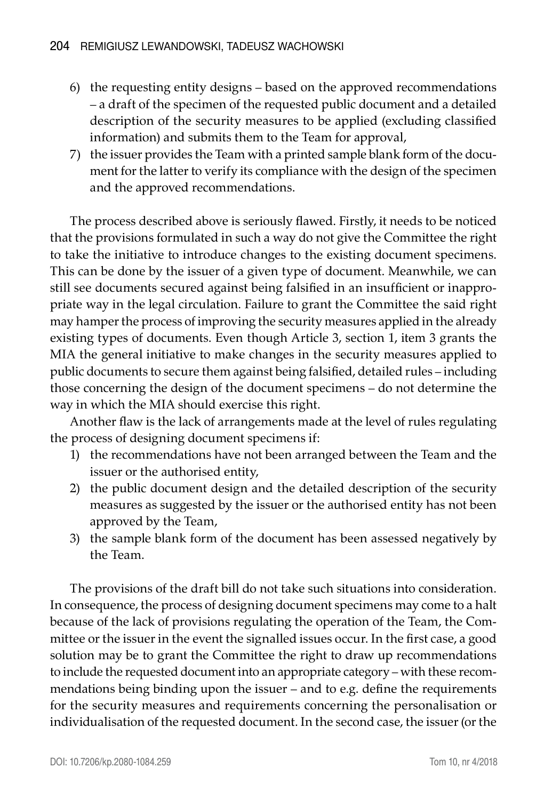- 6) the requesting entity designs based on the approved recommendations – a draft of the specimen of the requested public document and a detailed description of the security measures to be applied (excluding classified information) and submits them to the Team for approval,
- 7) the issuer provides the Team with a printed sample blank form of the document for the latter to verify its compliance with the design of the specimen and the approved recommendations.

The process described above is seriously flawed. Firstly, it needs to be noticed that the provisions formulated in such a way do not give the Committee the right to take the initiative to introduce changes to the existing document specimens. This can be done by the issuer of a given type of document. Meanwhile, we can still see documents secured against being falsified in an insufficient or inappropriate way in the legal circulation. Failure to grant the Committee the said right may hamper the process of improving the security measures applied in the already existing types of documents. Even though Article 3, section 1, item 3 grants the MIA the general initiative to make changes in the security measures applied to public documents to secure them against being falsified, detailed rules – including those concerning the design of the document specimens – do not determine the way in which the MIA should exercise this right.

Another flaw is the lack of arrangements made at the level of rules regulating the process of designing document specimens if:

- 1) the recommendations have not been arranged between the Team and the issuer or the authorised entity,
- 2) the public document design and the detailed description of the security measures as suggested by the issuer or the authorised entity has not been approved by the Team,
- 3) the sample blank form of the document has been assessed negatively by the Team.

The provisions of the draft bill do not take such situations into consideration. In consequence, the process of designing document specimens may come to a halt because of the lack of provisions regulating the operation of the Team, the Committee or the issuer in the event the signalled issues occur. In the first case, a good solution may be to grant the Committee the right to draw up recommendations to include the requested document into an appropriate category – with these recommendations being binding upon the issuer – and to e.g. define the requirements for the security measures and requirements concerning the personalisation or individualisation of the requested document. In the second case, the issuer (or the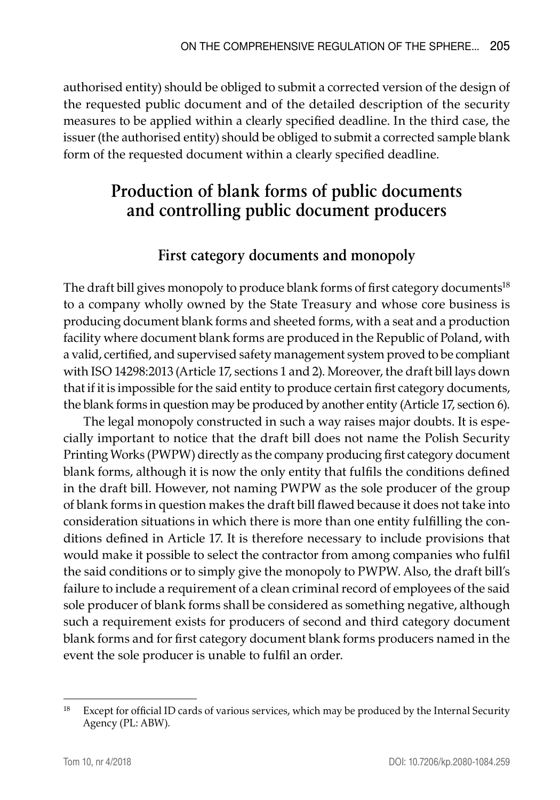authorised entity) should be obliged to submit a corrected version of the design of the requested public document and of the detailed description of the security measures to be applied within a clearly specified deadline. In the third case, the issuer (the authorised entity) should be obliged to submit a corrected sample blank form of the requested document within a clearly specified deadline.

# **Production of blank forms of public documents and controlling public document producers**

# **First category documents and monopoly**

The draft bill gives monopoly to produce blank forms of first category documents<sup>18</sup> to a company wholly owned by the State Treasury and whose core business is producing document blank forms and sheeted forms, with a seat and a production facility where document blank forms are produced in the Republic of Poland, with a valid, certified, and supervised safety management system proved to be compliant with ISO 14298:2013 (Article 17, sections 1 and 2). Moreover, the draft bill lays down that if it is impossible for the said entity to produce certain first category documents, the blank forms in question may be produced by another entity (Article 17, section 6).

The legal monopoly constructed in such a way raises major doubts. It is especially important to notice that the draft bill does not name the Polish Security Printing Works (PWPW) directly as the company producing first category document blank forms, although it is now the only entity that fulfils the conditions defined in the draft bill. However, not naming PWPW as the sole producer of the group of blank forms in question makes the draft bill flawed because it does not take into consideration situations in which there is more than one entity fulfilling the conditions defined in Article 17. It is therefore necessary to include provisions that would make it possible to select the contractor from among companies who fulfil the said conditions or to simply give the monopoly to PWPW. Also, the draft bill's failure to include a requirement of a clean criminal record of employees of the said sole producer of blank forms shall be considered as something negative, although such a requirement exists for producers of second and third category document blank forms and for first category document blank forms producers named in the event the sole producer is unable to fulfil an order.

<sup>&</sup>lt;sup>18</sup> Except for official ID cards of various services, which may be produced by the Internal Security Agency (PL: ABW).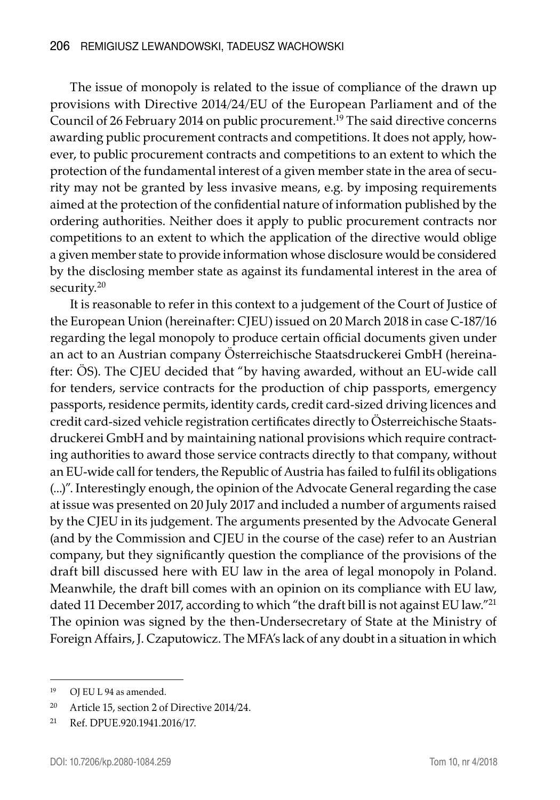The issue of monopoly is related to the issue of compliance of the drawn up provisions with Directive 2014/24/EU of the European Parliament and of the Council of 26 February 2014 on public procurement.<sup>19</sup> The said directive concerns awarding public procurement contracts and competitions. It does not apply, however, to public procurement contracts and competitions to an extent to which the protection of the fundamental interest of a given member state in the area of security may not be granted by less invasive means, e.g. by imposing requirements aimed at the protection of the confidential nature of information published by the ordering authorities. Neither does it apply to public procurement contracts nor competitions to an extent to which the application of the directive would oblige a given member state to provide information whose disclosure would be considered by the disclosing member state as against its fundamental interest in the area of security.<sup>20</sup>

It is reasonable to refer in this context to a judgement of the Court of Justice of the European Union (hereinafter: CJEU) issued on 20 March 2018 in case C-187/16 regarding the legal monopoly to produce certain official documents given under an act to an Austrian company Österreichische Staatsdruckerei GmbH (hereinafter: ÖS). The CJEU decided that "by having awarded, without an EU-wide call for tenders, service contracts for the production of chip passports, emergency passports, residence permits, identity cards, credit card-sized driving licences and credit card-sized vehicle registration certificates directly to Österreichische Staatsdruckerei GmbH and by maintaining national provisions which require contracting authorities to award those service contracts directly to that company, without an EU-wide call for tenders, the Republic of Austria has failed to fulfil its obligations (...)". Interestingly enough, the opinion of the Advocate General regarding the case at issue was presented on 20 July 2017 and included a number of arguments raised by the CJEU in its judgement. The arguments presented by the Advocate General (and by the Commission and CJEU in the course of the case) refer to an Austrian company, but they significantly question the compliance of the provisions of the draft bill discussed here with EU law in the area of legal monopoly in Poland. Meanwhile, the draft bill comes with an opinion on its compliance with EU law, dated 11 December 2017, according to which "the draft bill is not against EU law."21 The opinion was signed by the then-Undersecretary of State at the Ministry of Foreign Affairs, J. Czaputowicz. The MFA's lack of any doubt in a situation in which

<sup>19</sup> OJ EU L 94 as amended.

<sup>20</sup> Article 15, section 2 of Directive 2014/24.

<sup>21</sup> Ref. DPUE.920.1941.2016/17.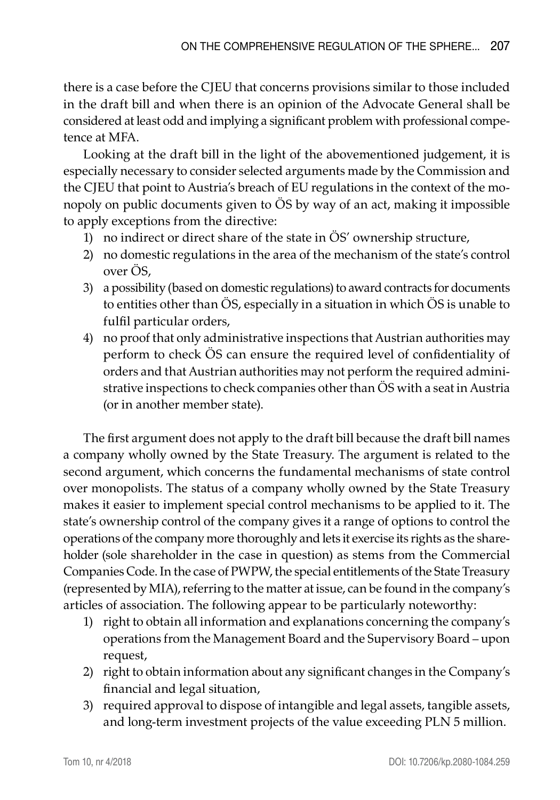there is a case before the CJEU that concerns provisions similar to those included in the draft bill and when there is an opinion of the Advocate General shall be considered at least odd and implying a significant problem with professional competence at MFA.

Looking at the draft bill in the light of the abovementioned judgement, it is especially necessary to consider selected arguments made by the Commission and the CJEU that point to Austria's breach of EU regulations in the context of the monopoly on public documents given to ÖS by way of an act, making it impossible to apply exceptions from the directive:

- 1) no indirect or direct share of the state in ÖS' ownership structure,
- 2) no domestic regulations in the area of the mechanism of the state's control over ÖS,
- 3) a possibility (based on domestic regulations) to award contracts for documents to entities other than ÖS, especially in a situation in which ÖS is unable to fulfil particular orders,
- 4) no proof that only administrative inspections that Austrian authorities may perform to check ÖS can ensure the required level of confidentiality of orders and that Austrian authorities may not perform the required administrative inspections to check companies other than ÖS with a seat in Austria (or in another member state).

The first argument does not apply to the draft bill because the draft bill names a company wholly owned by the State Treasury. The argument is related to the second argument, which concerns the fundamental mechanisms of state control over monopolists. The status of a company wholly owned by the State Treasury makes it easier to implement special control mechanisms to be applied to it. The state's ownership control of the company gives it a range of options to control the operations of the company more thoroughly and lets it exercise its rights as the shareholder (sole shareholder in the case in question) as stems from the Commercial Companies Code. In the case of PWPW, the special entitlements of the State Treasury (represented by MIA), referring to the matter at issue, can be found in the company's articles of association. The following appear to be particularly noteworthy:

- 1) right to obtain all information and explanations concerning the company's operations from the Management Board and the Supervisory Board – upon request,
- 2) right to obtain information about any significant changes in the Company's financial and legal situation,
- 3) required approval to dispose of intangible and legal assets, tangible assets, and long-term investment projects of the value exceeding PLN 5 million.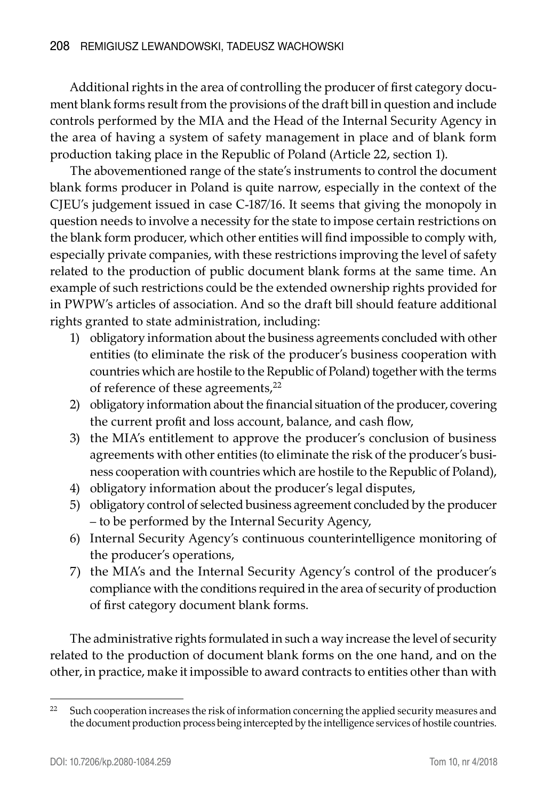Additional rights in the area of controlling the producer of first category document blank forms result from the provisions of the draft bill in question and include controls performed by the MIA and the Head of the Internal Security Agency in the area of having a system of safety management in place and of blank form production taking place in the Republic of Poland (Article 22, section 1).

The abovementioned range of the state's instruments to control the document blank forms producer in Poland is quite narrow, especially in the context of the CJEU's judgement issued in case C-187/16. It seems that giving the monopoly in question needs to involve a necessity for the state to impose certain restrictions on the blank form producer, which other entities will find impossible to comply with, especially private companies, with these restrictions improving the level of safety related to the production of public document blank forms at the same time. An example of such restrictions could be the extended ownership rights provided for in PWPW's articles of association. And so the draft bill should feature additional rights granted to state administration, including:

- 1) obligatory information about the business agreements concluded with other entities (to eliminate the risk of the producer's business cooperation with countries which are hostile to the Republic of Poland) together with the terms of reference of these agreements,<sup>22</sup>
- 2) obligatory information about the financial situation of the producer, covering the current profit and loss account, balance, and cash flow,
- 3) the MIA's entitlement to approve the producer's conclusion of business agreements with other entities (to eliminate the risk of the producer's business cooperation with countries which are hostile to the Republic of Poland),
- 4) obligatory information about the producer's legal disputes,
- 5) obligatory control of selected business agreement concluded by the producer – to be performed by the Internal Security Agency,
- 6) Internal Security Agency's continuous counterintelligence monitoring of the producer's operations,
- 7) the MIA's and the Internal Security Agency's control of the producer's compliance with the conditions required in the area of security of production of first category document blank forms.

The administrative rights formulated in such a way increase the level of security related to the production of document blank forms on the one hand, and on the other, in practice, make it impossible to award contracts to entities other than with

<sup>&</sup>lt;sup>22</sup> Such cooperation increases the risk of information concerning the applied security measures and the document production process being intercepted by the intelligence services of hostile countries.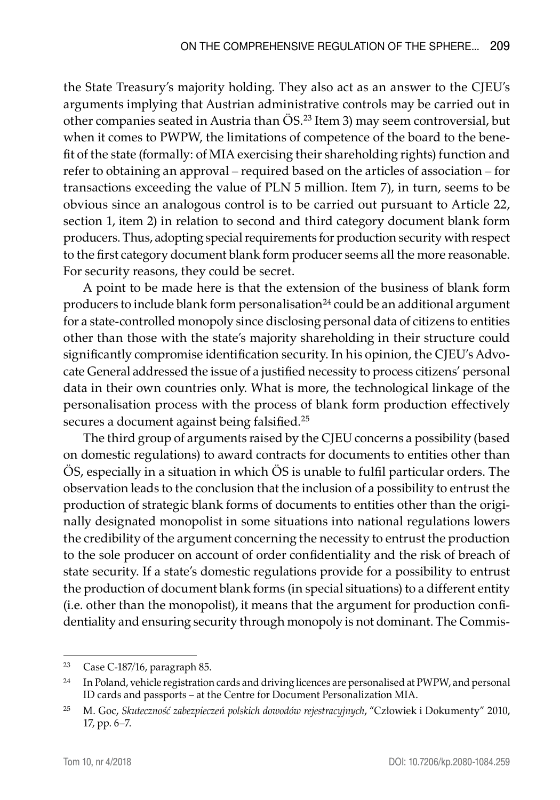the State Treasury's majority holding. They also act as an answer to the CJEU's arguments implying that Austrian administrative controls may be carried out in other companies seated in Austria than ÖS.23 Item 3) may seem controversial, but when it comes to PWPW, the limitations of competence of the board to the benefit of the state (formally: of MIA exercising their shareholding rights) function and refer to obtaining an approval – required based on the articles of association – for transactions exceeding the value of PLN 5 million. Item 7), in turn, seems to be obvious since an analogous control is to be carried out pursuant to Article 22, section 1, item 2) in relation to second and third category document blank form producers. Thus, adopting special requirements for production security with respect to the first category document blank form producer seems all the more reasonable. For security reasons, they could be secret.

A point to be made here is that the extension of the business of blank form producers to include blank form personalisation<sup>24</sup> could be an additional argument for a state-controlled monopoly since disclosing personal data of citizens to entities other than those with the state's majority shareholding in their structure could significantly compromise identification security. In his opinion, the CJEU's Advocate General addressed the issue of a justified necessity to process citizens' personal data in their own countries only. What is more, the technological linkage of the personalisation process with the process of blank form production effectively secures a document against being falsified.<sup>25</sup>

The third group of arguments raised by the CJEU concerns a possibility (based on domestic regulations) to award contracts for documents to entities other than ÖS, especially in a situation in which ÖS is unable to fulfil particular orders. The observation leads to the conclusion that the inclusion of a possibility to entrust the production of strategic blank forms of documents to entities other than the originally designated monopolist in some situations into national regulations lowers the credibility of the argument concerning the necessity to entrust the production to the sole producer on account of order confidentiality and the risk of breach of state security. If a state's domestic regulations provide for a possibility to entrust the production of document blank forms (in special situations) to a different entity (i.e. other than the monopolist), it means that the argument for production confidentiality and ensuring security through monopoly is not dominant. The Commis-

<sup>23</sup> Case C-187/16, paragraph 85.

<sup>&</sup>lt;sup>24</sup> In Poland, vehicle registration cards and driving licences are personalised at PWPW, and personal ID cards and passports – at the Centre for Document Personalization MIA.

<sup>25</sup> M. Goc, *Skuteczność zabezpieczeń polskich dowodów rejestracyjnych*, "Człowiek i Dokumenty" 2010, 17, pp. 6–7.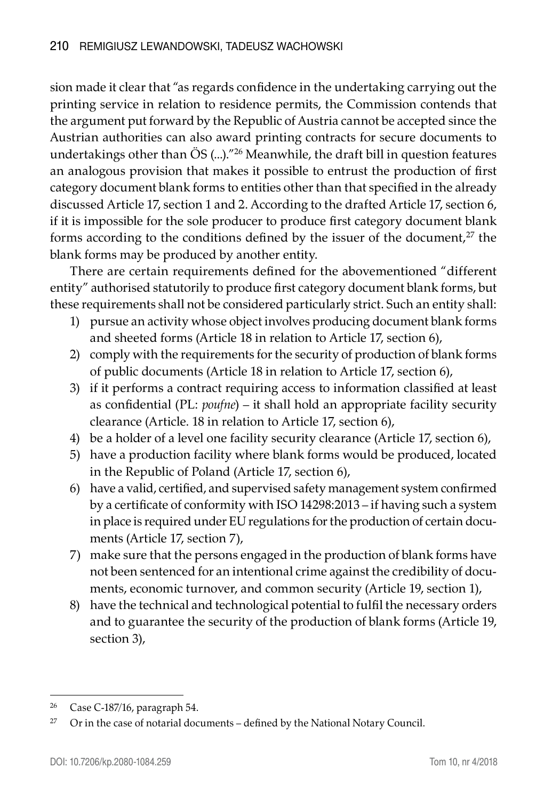sion made it clear that "as regards confidence in the undertaking carrying out the printing service in relation to residence permits, the Commission contends that the argument put forward by the Republic of Austria cannot be accepted since the Austrian authorities can also award printing contracts for secure documents to undertakings other than ÖS (...)."26 Meanwhile, the draft bill in question features an analogous provision that makes it possible to entrust the production of first category document blank forms to entities other than that specified in the already discussed Article 17, section 1 and 2. According to the drafted Article 17, section 6, if it is impossible for the sole producer to produce first category document blank forms according to the conditions defined by the issuer of the document, $^{27}$  the blank forms may be produced by another entity.

There are certain requirements defined for the abovementioned "different entity" authorised statutorily to produce first category document blank forms, but these requirements shall not be considered particularly strict. Such an entity shall:

- 1) pursue an activity whose object involves producing document blank forms and sheeted forms (Article 18 in relation to Article 17, section 6),
- 2) comply with the requirements for the security of production of blank forms of public documents (Article 18 in relation to Article 17, section 6),
- 3) if it performs a contract requiring access to information classified at least as confidential (PL: *poufne*) – it shall hold an appropriate facility security clearance (Article. 18 in relation to Article 17, section 6),
- 4) be a holder of a level one facility security clearance (Article 17, section 6),
- 5) have a production facility where blank forms would be produced, located in the Republic of Poland (Article 17, section 6),
- 6) have a valid, certified, and supervised safety management system confirmed by a certificate of conformity with ISO 14298:2013 – if having such a system in place is required under EU regulations for the production of certain documents (Article 17, section 7),
- 7) make sure that the persons engaged in the production of blank forms have not been sentenced for an intentional crime against the credibility of documents, economic turnover, and common security (Article 19, section 1),
- 8) have the technical and technological potential to fulfil the necessary orders and to guarantee the security of the production of blank forms (Article 19, section 3),

<sup>26</sup> Case C-187/16, paragraph 54.

 $27$  Or in the case of notarial documents – defined by the National Notary Council.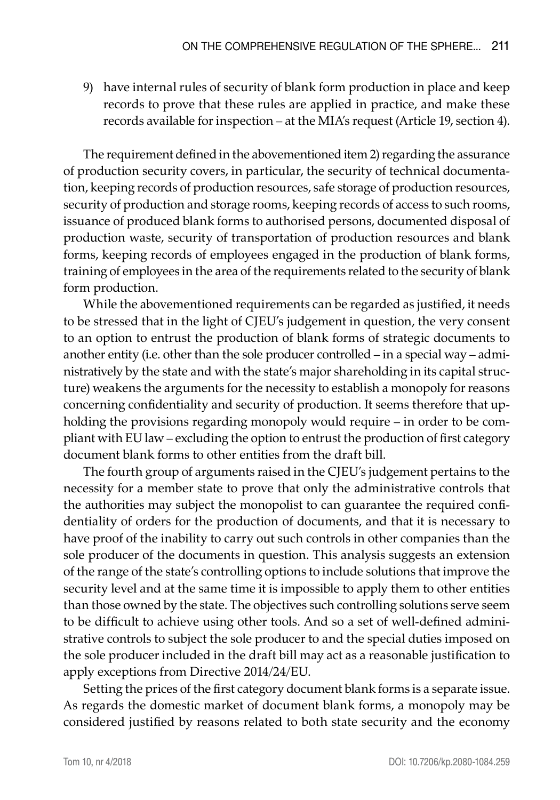9) have internal rules of security of blank form production in place and keep records to prove that these rules are applied in practice, and make these records available for inspection – at the MIA's request (Article 19, section 4).

The requirement defined in the abovementioned item 2) regarding the assurance of production security covers, in particular, the security of technical documentation, keeping records of production resources, safe storage of production resources, security of production and storage rooms, keeping records of access to such rooms, issuance of produced blank forms to authorised persons, documented disposal of production waste, security of transportation of production resources and blank forms, keeping records of employees engaged in the production of blank forms, training of employees in the area of the requirements related to the security of blank form production.

While the abovementioned requirements can be regarded as justified, it needs to be stressed that in the light of CJEU's judgement in question, the very consent to an option to entrust the production of blank forms of strategic documents to another entity (i.e. other than the sole producer controlled – in a special way – administratively by the state and with the state's major shareholding in its capital structure) weakens the arguments for the necessity to establish a monopoly for reasons concerning confidentiality and security of production. It seems therefore that upholding the provisions regarding monopoly would require – in order to be compliant with EU law – excluding the option to entrust the production of first category document blank forms to other entities from the draft bill.

The fourth group of arguments raised in the CJEU's judgement pertains to the necessity for a member state to prove that only the administrative controls that the authorities may subject the monopolist to can guarantee the required confidentiality of orders for the production of documents, and that it is necessary to have proof of the inability to carry out such controls in other companies than the sole producer of the documents in question. This analysis suggests an extension of the range of the state's controlling options to include solutions that improve the security level and at the same time it is impossible to apply them to other entities than those owned by the state. The objectives such controlling solutions serve seem to be difficult to achieve using other tools. And so a set of well-defined administrative controls to subject the sole producer to and the special duties imposed on the sole producer included in the draft bill may act as a reasonable justification to apply exceptions from Directive 2014/24/EU.

Setting the prices of the first category document blank forms is a separate issue. As regards the domestic market of document blank forms, a monopoly may be considered justified by reasons related to both state security and the economy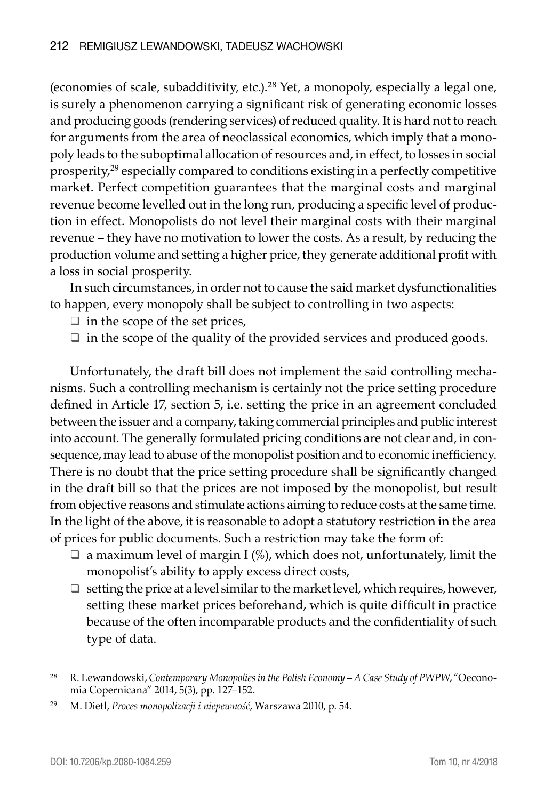(economies of scale, subadditivity, etc.).28 Yet, a monopoly, especially a legal one, is surely a phenomenon carrying a significant risk of generating economic losses and producing goods (rendering services) of reduced quality. It is hard not to reach for arguments from the area of neoclassical economics, which imply that a monopoly leads to the suboptimal allocation of resources and, in effect, to losses in social prosperity,29 especially compared to conditions existing in a perfectly competitive market. Perfect competition guarantees that the marginal costs and marginal revenue become levelled out in the long run, producing a specific level of production in effect. Monopolists do not level their marginal costs with their marginal revenue – they have no motivation to lower the costs. As a result, by reducing the production volume and setting a higher price, they generate additional profit with a loss in social prosperity.

In such circumstances, in order not to cause the said market dysfunctionalities to happen, every monopoly shall be subject to controlling in two aspects:

 $\Box$  in the scope of the set prices,

 $\Box$  in the scope of the quality of the provided services and produced goods.

Unfortunately, the draft bill does not implement the said controlling mechanisms. Such a controlling mechanism is certainly not the price setting procedure defined in Article 17, section 5, i.e. setting the price in an agreement concluded between the issuer and a company, taking commercial principles and public interest into account. The generally formulated pricing conditions are not clear and, in consequence, may lead to abuse of the monopolist position and to economic inefficiency. There is no doubt that the price setting procedure shall be significantly changed in the draft bill so that the prices are not imposed by the monopolist, but result from objective reasons and stimulate actions aiming to reduce costs at the same time. In the light of the above, it is reasonable to adopt a statutory restriction in the area of prices for public documents. Such a restriction may take the form of:

- $\Box$  a maximum level of margin I (%), which does not, unfortunately, limit the monopolist's ability to apply excess direct costs,
- $\Box$  setting the price at a level similar to the market level, which requires, however, setting these market prices beforehand, which is quite difficult in practice because of the often incomparable products and the confidentiality of such type of data.

<sup>28</sup> R. Lewandowski, *Contemporary Monopolies in the Polish Economy – A Case Study of PWPW*, "Oeconomia Copernicana" 2014, 5(3), pp. 127–152.

<sup>29</sup> M. Dietl, *Proces monopolizacji i niepewność*, Warszawa 2010, p. 54.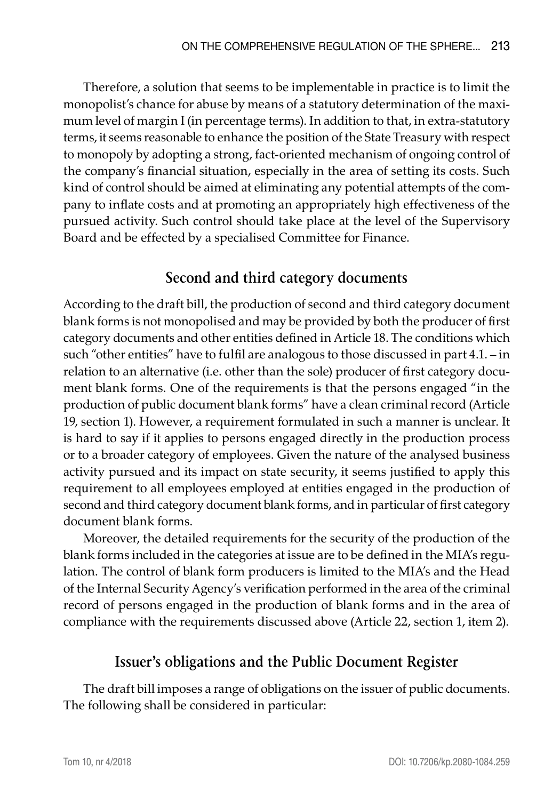Therefore, a solution that seems to be implementable in practice is to limit the monopolist's chance for abuse by means of a statutory determination of the maximum level of margin I (in percentage terms). In addition to that, in extra-statutory terms, it seems reasonable to enhance the position of the State Treasury with respect to monopoly by adopting a strong, fact-oriented mechanism of ongoing control of the company's financial situation, especially in the area of setting its costs. Such kind of control should be aimed at eliminating any potential attempts of the company to inflate costs and at promoting an appropriately high effectiveness of the pursued activity. Such control should take place at the level of the Supervisory Board and be effected by a specialised Committee for Finance.

# **Second and third category documents**

According to the draft bill, the production of second and third category document blank forms is not monopolised and may be provided by both the producer of first category documents and other entities defined in Article 18. The conditions which such "other entities" have to fulfil are analogous to those discussed in part 4.1. – in relation to an alternative (i.e. other than the sole) producer of first category document blank forms. One of the requirements is that the persons engaged "in the production of public document blank forms" have a clean criminal record (Article 19, section 1). However, a requirement formulated in such a manner is unclear. It is hard to say if it applies to persons engaged directly in the production process or to a broader category of employees. Given the nature of the analysed business activity pursued and its impact on state security, it seems justified to apply this requirement to all employees employed at entities engaged in the production of second and third category document blank forms, and in particular of first category document blank forms.

Moreover, the detailed requirements for the security of the production of the blank forms included in the categories at issue are to be defined in the MIA's regulation. The control of blank form producers is limited to the MIA's and the Head of the Internal Security Agency's verification performed in the area of the criminal record of persons engaged in the production of blank forms and in the area of compliance with the requirements discussed above (Article 22, section 1, item 2).

### **Issuer's obligations and the Public Document Register**

The draft bill imposes a range of obligations on the issuer of public documents. The following shall be considered in particular: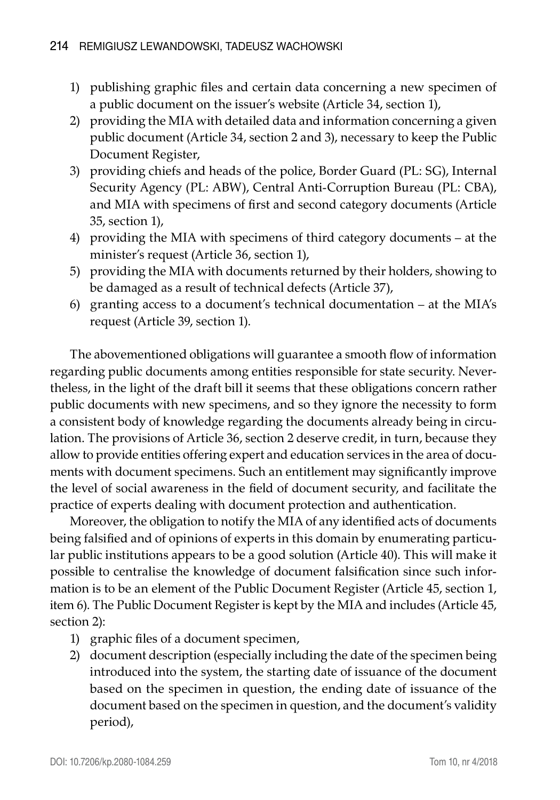- 1) publishing graphic files and certain data concerning a new specimen of a public document on the issuer's website (Article 34, section 1),
- 2) providing the MIA with detailed data and information concerning a given public document (Article 34, section 2 and 3), necessary to keep the Public Document Register,
- 3) providing chiefs and heads of the police, Border Guard (PL: SG), Internal Security Agency (PL: ABW), Central Anti-Corruption Bureau (PL: CBA), and MIA with specimens of first and second category documents (Article 35, section 1),
- 4) providing the MIA with specimens of third category documents at the minister's request (Article 36, section 1),
- 5) providing the MIA with documents returned by their holders, showing to be damaged as a result of technical defects (Article 37),
- 6) granting access to a document's technical documentation at the MIA's request (Article 39, section 1).

The abovementioned obligations will guarantee a smooth flow of information regarding public documents among entities responsible for state security. Nevertheless, in the light of the draft bill it seems that these obligations concern rather public documents with new specimens, and so they ignore the necessity to form a consistent body of knowledge regarding the documents already being in circulation. The provisions of Article 36, section 2 deserve credit, in turn, because they allow to provide entities offering expert and education services in the area of documents with document specimens. Such an entitlement may significantly improve the level of social awareness in the field of document security, and facilitate the practice of experts dealing with document protection and authentication.

Moreover, the obligation to notify the MIA of any identified acts of documents being falsified and of opinions of experts in this domain by enumerating particular public institutions appears to be a good solution (Article 40). This will make it possible to centralise the knowledge of document falsification since such information is to be an element of the Public Document Register (Article 45, section 1, item 6). The Public Document Register is kept by the MIA and includes (Article 45, section 2):

- 1) graphic files of a document specimen,
- 2) document description (especially including the date of the specimen being introduced into the system, the starting date of issuance of the document based on the specimen in question, the ending date of issuance of the document based on the specimen in question, and the document's validity period),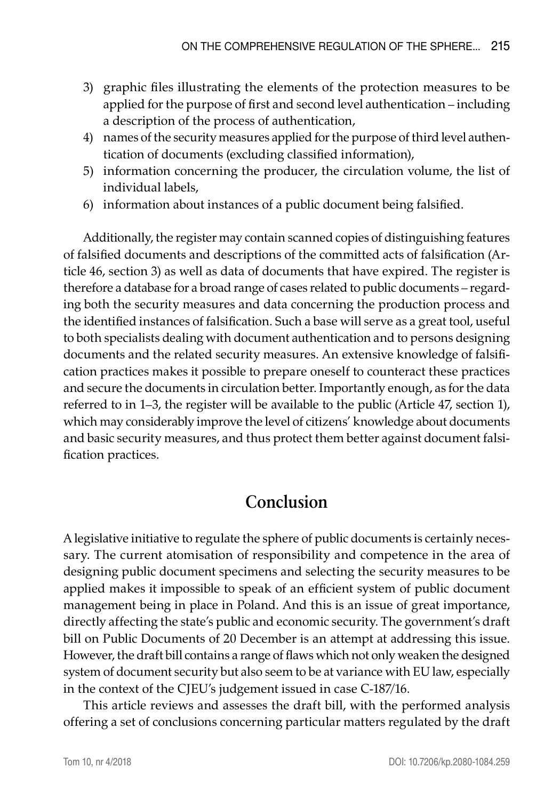- 3) graphic files illustrating the elements of the protection measures to be applied for the purpose of first and second level authentication – including a description of the process of authentication,
- 4) names of the security measures applied for the purpose of third level authentication of documents (excluding classified information),
- 5) information concerning the producer, the circulation volume, the list of individual labels,
- 6) information about instances of a public document being falsified.

Additionally, the register may contain scanned copies of distinguishing features of falsified documents and descriptions of the committed acts of falsification (Article 46, section 3) as well as data of documents that have expired. The register is therefore a database for a broad range of cases related to public documents – regarding both the security measures and data concerning the production process and the identified instances of falsification. Such a base will serve as a great tool, useful to both specialists dealing with document authentication and to persons designing documents and the related security measures. An extensive knowledge of falsification practices makes it possible to prepare oneself to counteract these practices and secure the documents in circulation better. Importantly enough, as for the data referred to in 1–3, the register will be available to the public (Article 47, section 1), which may considerably improve the level of citizens' knowledge about documents and basic security measures, and thus protect them better against document falsification practices.

# **Conclusion**

A legislative initiative to regulate the sphere of public documents is certainly necessary. The current atomisation of responsibility and competence in the area of designing public document specimens and selecting the security measures to be applied makes it impossible to speak of an efficient system of public document management being in place in Poland. And this is an issue of great importance, directly affecting the state's public and economic security. The government's draft bill on Public Documents of 20 December is an attempt at addressing this issue. However, the draft bill contains a range of flaws which not only weaken the designed system of document security but also seem to be at variance with EU law, especially in the context of the CJEU's judgement issued in case C-187/16.

This article reviews and assesses the draft bill, with the performed analysis offering a set of conclusions concerning particular matters regulated by the draft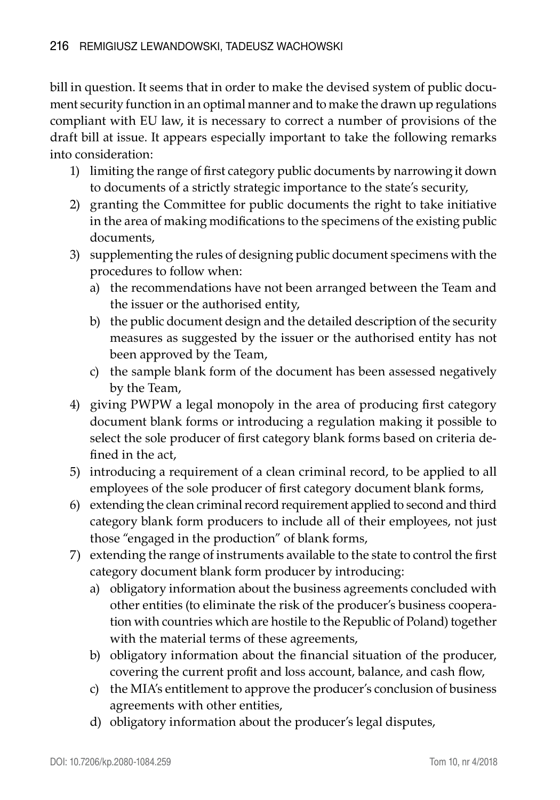bill in question. It seems that in order to make the devised system of public document security function in an optimal manner and to make the drawn up regulations compliant with EU law, it is necessary to correct a number of provisions of the draft bill at issue. It appears especially important to take the following remarks into consideration:

- 1) limiting the range of first category public documents by narrowing it down to documents of a strictly strategic importance to the state's security,
- 2) granting the Committee for public documents the right to take initiative in the area of making modifications to the specimens of the existing public documents,
- 3) supplementing the rules of designing public document specimens with the procedures to follow when:
	- a) the recommendations have not been arranged between the Team and the issuer or the authorised entity,
	- b) the public document design and the detailed description of the security measures as suggested by the issuer or the authorised entity has not been approved by the Team,
	- c) the sample blank form of the document has been assessed negatively by the Team,
- 4) giving PWPW a legal monopoly in the area of producing first category document blank forms or introducing a regulation making it possible to select the sole producer of first category blank forms based on criteria defined in the act,
- 5) introducing a requirement of a clean criminal record, to be applied to all employees of the sole producer of first category document blank forms,
- 6) extending the clean criminal record requirement applied to second and third category blank form producers to include all of their employees, not just those "engaged in the production" of blank forms,
- 7) extending the range of instruments available to the state to control the first category document blank form producer by introducing:
	- a) obligatory information about the business agreements concluded with other entities (to eliminate the risk of the producer's business cooperation with countries which are hostile to the Republic of Poland) together with the material terms of these agreements,
	- b) obligatory information about the financial situation of the producer, covering the current profit and loss account, balance, and cash flow,
	- c) the MIA's entitlement to approve the producer's conclusion of business agreements with other entities,
	- d) obligatory information about the producer's legal disputes,